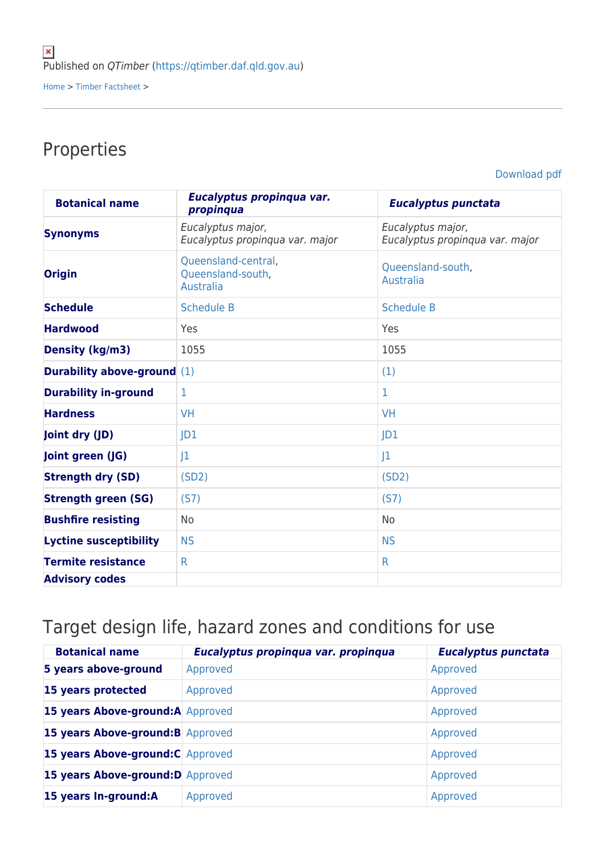## Properties

[Download pdf](https://qtimber.daf.qld.gov.au/printpdf/timber-factsheet/gum, grey)

| <b>Botanical name</b>              | Eucalyptus propinqua var.<br>propinqua                | <b>Eucalyptus punctata</b>                           |
|------------------------------------|-------------------------------------------------------|------------------------------------------------------|
| <b>Synonyms</b>                    | Eucalyptus major,<br>Eucalyptus propinqua var. major  | Eucalyptus major,<br>Eucalyptus propinqua var. major |
| <b>Origin</b>                      | Queensland-central,<br>Queensland-south,<br>Australia | Queensland-south,<br><b>Australia</b>                |
| <b>Schedule</b>                    | <b>Schedule B</b>                                     | <b>Schedule B</b>                                    |
| <b>Hardwood</b>                    | Yes                                                   | Yes                                                  |
| <b>Density (kg/m3)</b>             | 1055                                                  | 1055                                                 |
| <b>Durability above-ground</b> (1) |                                                       | (1)                                                  |
| <b>Durability in-ground</b>        | 1                                                     | 1                                                    |
| <b>Hardness</b>                    | <b>VH</b>                                             | <b>VH</b>                                            |
| Joint dry (JD)                     | D1                                                    | D1                                                   |
| Joint green (JG)                   | 1                                                     | 1                                                    |
| <b>Strength dry (SD)</b>           | (SD2)                                                 | (SD2)                                                |
| <b>Strength green (SG)</b>         | (S7)                                                  | (S7)                                                 |
| <b>Bushfire resisting</b>          | No                                                    | No                                                   |
| <b>Lyctine susceptibility</b>      | <b>NS</b>                                             | <b>NS</b>                                            |
| <b>Termite resistance</b>          | $\mathsf{R}$                                          | $\mathsf{R}$                                         |
| <b>Advisory codes</b>              |                                                       |                                                      |

## Target design life, hazard zones and conditions for use

| <b>Botanical name</b>             | Eucalyptus propinqua var. propinqua | <b>Eucalyptus punctata</b> |
|-----------------------------------|-------------------------------------|----------------------------|
| 5 years above-ground              | Approved                            | Approved                   |
| 15 years protected                | Approved                            | Approved                   |
| 15 years Above-ground: A Approved |                                     | Approved                   |
| 15 years Above-ground: B Approved |                                     | Approved                   |
| 15 years Above-ground: C Approved |                                     | Approved                   |
| 15 years Above-ground: D Approved |                                     | Approved                   |
| 15 years In-ground:A              | Approved                            | Approved                   |